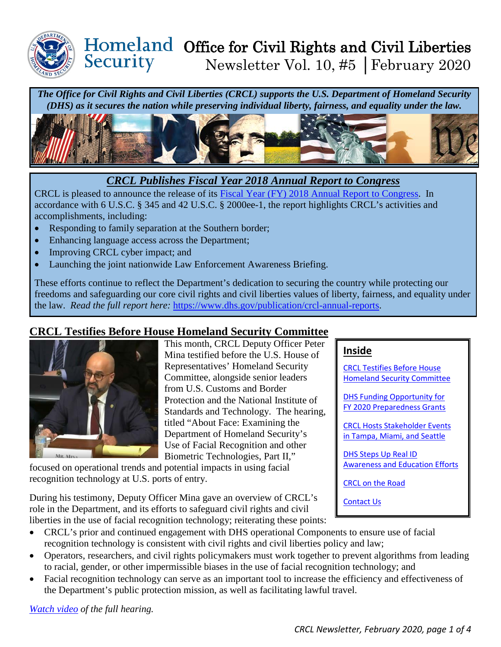

### Homeland Office for Civil Rights and Civil Liberties Security Newsletter Vol. 10, #5 │February 2020

*The Office for Civil Rights and Civil Liberties (CRCL) supports the U.S. Department of Homeland Security (DHS) as it secures the nation while preserving individual liberty, fairness, and equality under the law.* 



### *CRCL Publishes Fiscal Year 2018 Annual Report to Congress*

CRCL is pleased to announce the release of its [Fiscal Year \(FY\) 2018 Annual Report to Congress.](https://www.dhs.gov/publication/crcl-annual-reports) In accordance with 6 U.S.C. § 345 and 42 U.S.C. § 2000ee-1, the report highlights CRCL's activities and accomplishments, including:

- Responding to family separation at the Southern border;
- Enhancing language access across the Department;
- Improving CRCL cyber impact; and
- Launching the joint nationwide Law Enforcement Awareness Briefing.

These efforts continue to reflect the Department's dedication to securing the country while protecting our freedoms and safeguarding our core civil rights and civil liberties values of liberty, fairness, and equality under the law. *Read the full report here:* [https://www.dhs.gov/publication/crcl-annual-reports.](https://www.dhs.gov/publication/crcl-annual-reports)

# <span id="page-0-0"></span>**CRCL Testifies Before House Homeland Security Committee**



This month, CRCL Deputy Officer Peter Mina testified before the U.S. House of Representatives' Homeland Security Committee, alongside senior leaders from U.S. Customs and Border Protection and the National Institute of Standards and Technology. The hearing, titled "About Face: Examining the Department of Homeland Security's Use of Facial Recognition and other Biometric Technologies, Part II,"

focused on operational trends and potential impacts in using facial recognition technology at U.S. ports of entry.

During his testimony, Deputy Officer Mina gave an overview of CRCL's role in the Department, and its efforts to safeguard civil rights and civil liberties in the use of facial recognition technology; reiterating these points:

## • CRCL's prior and continued engagement with DHS operational Components to ensure use of facial recognition technology is consistent with civil rights and civil liberties policy and law;

- Operators, researchers, and civil rights policymakers must work together to prevent algorithms from leading to racial, gender, or other impermissible biases in the use of facial recognition technology; and
- Facial recognition technology can serve as an important tool to increase the efficiency and effectiveness of the Department's public protection mission, as well as facilitating lawful travel.

*[Watch video](https://homeland.house.gov/activities/hearings/about-face-examining-the-department-of-homeland-securitys-use-of-facial-recognition-and-other-biometric-technologies-part-ii) of the full hearing.* 

#### **Inside**

[CRCL Testifies Before House](#page-0-0)  [Homeland Security Committee](#page-0-0)

[DHS Funding Opportunity for](#page-1-0)  [FY 2020 Preparedness Grants](#page-1-0) 

[CRCL Hosts Stakeholder Events](#page-2-0)  [in Tampa, Miami, and Seattle](#page-2-0) 

[DHS Steps Up Real ID](#page-2-1)  [Awareness and Education Efforts](#page-2-1)

[CRCL on the Road](#page-3-0)

[Contact Us](#page-3-1)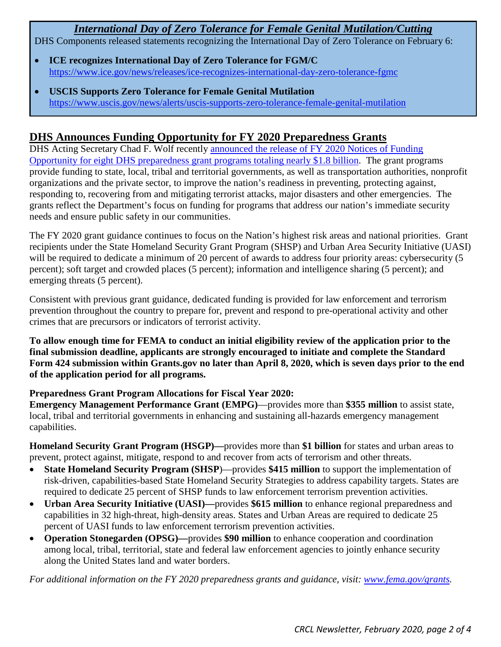# *International Day of Zero Tolerance for Female Genital Mutilation/Cutting*

DHS Components released statements recognizing the International Day of Zero Tolerance on February 6:

- **ICE recognizes International Day of Zero Tolerance for FGM/C** <https://www.ice.gov/news/releases/ice-recognizes-international-day-zero-tolerance-fgmc>
- **USCIS Supports Zero Tolerance for Female Genital Mutilation** <https://www.uscis.gov/news/alerts/uscis-supports-zero-tolerance-female-genital-mutilation>

## <span id="page-1-0"></span>**DHS Announces Funding Opportunity for FY 2020 Preparedness Grants**

DHS Acting Secretary Chad F. Wolf recently [announced the release of FY 2020 Notices of Funding](https://www.dhs.gov/news/2020/02/14/dhs-announces-funding-opportunity-fiscal-year-2020-preparedness-grants)  [Opportunity for eight DHS preparedness grant programs totaling nearly \\$1.8 billion.](https://www.dhs.gov/news/2020/02/14/dhs-announces-funding-opportunity-fiscal-year-2020-preparedness-grants) The grant programs provide funding to state, local, tribal and territorial governments, as well as transportation authorities, nonprofit organizations and the private sector, to improve the nation's readiness in preventing, protecting against, responding to, recovering from and mitigating terrorist attacks, major disasters and other emergencies. The grants reflect the Department's focus on funding for programs that address our nation's immediate security needs and ensure public safety in our communities.

The FY 2020 grant guidance continues to focus on the Nation's highest risk areas and national priorities. Grant recipients under the State Homeland Security Grant Program (SHSP) and Urban Area Security Initiative (UASI) will be required to dedicate a minimum of 20 percent of awards to address four priority areas: cybersecurity (5 percent); soft target and crowded places (5 percent); information and intelligence sharing (5 percent); and emerging threats (5 percent).

Consistent with previous grant guidance, dedicated funding is provided for law enforcement and terrorism prevention throughout the country to prepare for, prevent and respond to pre-operational activity and other crimes that are precursors or indicators of terrorist activity.

**To allow enough time for FEMA to conduct an initial eligibility review of the application prior to the final submission deadline, applicants are strongly encouraged to initiate and complete the Standard Form 424 submission within Grants.gov no later than April 8, 2020, which is seven days prior to the end of the application period for all programs.** 

#### **Preparedness Grant Program Allocations for Fiscal Year 2020:**

**Emergency Management Performance Grant (EMPG)**—provides more than **\$355 million** to assist state, local, tribal and territorial governments in enhancing and sustaining all-hazards emergency management capabilities.

**Homeland Security Grant Program (HSGP)—**provides more than **\$1 billion** for states and urban areas to prevent, protect against, mitigate, respond to and recover from acts of terrorism and other threats.

- **State Homeland Security Program (SHSP**)—provides **\$415 million** to support the implementation of risk-driven, capabilities-based State Homeland Security Strategies to address capability targets. States are required to dedicate 25 percent of SHSP funds to law enforcement terrorism prevention activities.
- **Urban Area Security Initiative (UASI)—**provides **\$615 million** to enhance regional preparedness and capabilities in 32 high-threat, high-density areas. States and Urban Areas are required to dedicate 25 percent of UASI funds to law enforcement terrorism prevention activities.
- **Operation Stonegarden (OPSG)—**provides **\$90 million** to enhance cooperation and coordination among local, tribal, territorial, state and federal law enforcement agencies to jointly enhance security along the United States land and water borders.

*For additional information on the FY 2020 preparedness grants and guidance, visit: [www.fema.gov/grants.](http://www.fema.gov/grants)*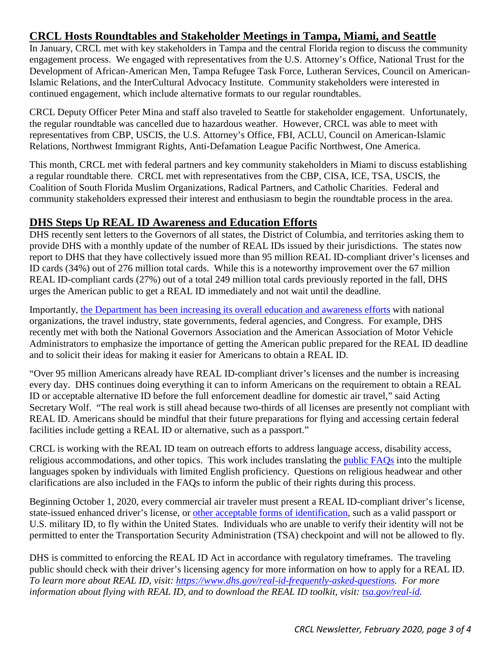# <span id="page-2-0"></span>**CRCL Hosts Roundtables and Stakeholder Meetings in Tampa, Miami, and Seattle**

In January, CRCL met with key stakeholders in Tampa and the central Florida region to discuss the community engagement process. We engaged with representatives from the U.S. Attorney's Office, National Trust for the Development of African-American Men, Tampa Refugee Task Force, Lutheran Services, Council on American-Islamic Relations, and the InterCultural Advocacy Institute. Community stakeholders were interested in continued engagement, which include alternative formats to our regular roundtables.

CRCL Deputy Officer Peter Mina and staff also traveled to Seattle for stakeholder engagement. Unfortunately, the regular roundtable was cancelled due to hazardous weather. However, CRCL was able to meet with representatives from CBP, USCIS, the U.S. Attorney's Office, FBI, ACLU, Council on American-Islamic Relations, Northwest Immigrant Rights, Anti-Defamation League Pacific Northwest, One America.

This month, CRCL met with federal partners and key community stakeholders in Miami to discuss establishing a regular roundtable there. CRCL met with representatives from the CBP, CISA, ICE, TSA, USCIS, the Coalition of South Florida Muslim Organizations, Radical Partners, and Catholic Charities. Federal and community stakeholders expressed their interest and enthusiasm to begin the roundtable process in the area.

## <span id="page-2-1"></span>**DHS Steps Up REAL ID Awareness and Education Efforts**

DHS recently sent letters to the Governors of all states, the District of Columbia, and territories asking them to provide DHS with a monthly update of the number of REAL IDs issued by their jurisdictions. The states now report to DHS that they have collectively issued more than 95 million REAL ID-compliant driver's licenses and ID cards (34%) out of 276 million total cards. While this is a noteworthy improvement over the 67 million REAL ID-compliant cards (27%) out of a total 249 million total cards previously reported in the fall, DHS urges the American public to get a REAL ID immediately and not wait until the deadline.

Importantly, [the Department has been increasing its overall education and awareness efforts](https://www.dhs.gov/news/2020/01/24/dhs-steps-real-id-education-and-awareness-efforts) with national organizations, the travel industry, state governments, federal agencies, and Congress. For example, DHS recently met with both the National Governors Association and the American Association of Motor Vehicle Administrators to emphasize the importance of getting the American public prepared for the REAL ID deadline and to solicit their ideas for making it easier for Americans to obtain a REAL ID.

"Over 95 million Americans already have REAL ID-compliant driver's licenses and the number is increasing every day. DHS continues doing everything it can to inform Americans on the requirement to obtain a REAL ID or acceptable alternative ID before the full enforcement deadline for domestic air travel," said Acting Secretary Wolf. "The real work is still ahead because two-thirds of all licenses are presently not compliant with REAL ID. Americans should be mindful that their future preparations for flying and accessing certain federal facilities include getting a REAL ID or alternative, such as a passport."

CRCL is working with the REAL ID team on outreach efforts to address language access, disability access, religious accommodations, and other topics. This work includes translating the [public FAQs](https://www.dhs.gov/real-id-frequently-asked-questions) into the multiple languages spoken by individuals with limited English proficiency. Questions on religious headwear and other clarifications are also included in the FAQs to inform the public of their rights during this process.

Beginning October 1, 2020, every commercial air traveler must present a REAL ID-compliant driver's license, state-issued enhanced driver's license, or [other acceptable forms of identification,](https://www.tsa.gov/travel/security-screening/identification) such as a valid passport or U.S. military ID, to fly within the United States. Individuals who are unable to verify their identity will not be permitted to enter the Transportation Security Administration (TSA) checkpoint and will not be allowed to fly.

DHS is committed to enforcing the REAL ID Act in accordance with regulatory timeframes. The traveling public should check with their driver's licensing agency for more information on how to apply for a REAL ID. *To learn more about REAL ID, visit: [https://www.dhs.gov/real-id-frequently-asked-questions.](https://www.dhs.gov/real-id-frequently-asked-questions) For more information about flying with REAL ID, and to download the REAL ID toolkit, visit: [tsa.gov/real-id.](http://www.tsa.gov/real-id)*